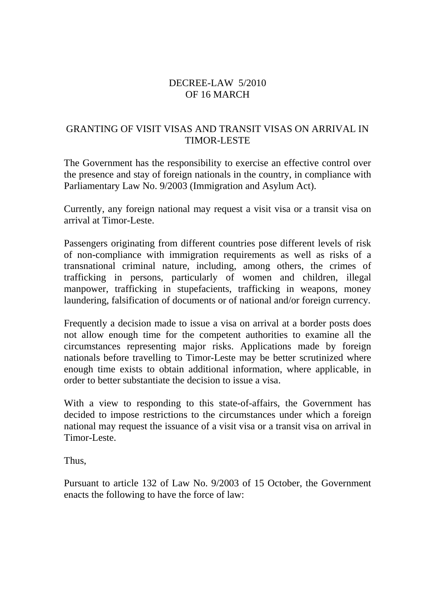### DECREE-LAW 5/2010 OF 16 MARCH

### GRANTING OF VISIT VISAS AND TRANSIT VISAS ON ARRIVAL IN TIMOR-LESTE

The Government has the responsibility to exercise an effective control over the presence and stay of foreign nationals in the country, in compliance with Parliamentary Law No. 9/2003 (Immigration and Asylum Act).

Currently, any foreign national may request a visit visa or a transit visa on arrival at Timor-Leste.

Passengers originating from different countries pose different levels of risk of non-compliance with immigration requirements as well as risks of a transnational criminal nature, including, among others, the crimes of trafficking in persons, particularly of women and children, illegal manpower, trafficking in stupefacients, trafficking in weapons, money laundering, falsification of documents or of national and/or foreign currency.

Frequently a decision made to issue a visa on arrival at a border posts does not allow enough time for the competent authorities to examine all the circumstances representing major risks. Applications made by foreign nationals before travelling to Timor-Leste may be better scrutinized where enough time exists to obtain additional information, where applicable, in order to better substantiate the decision to issue a visa.

With a view to responding to this state-of-affairs, the Government has decided to impose restrictions to the circumstances under which a foreign national may request the issuance of a visit visa or a transit visa on arrival in Timor-Leste.

Thus,

Pursuant to article 132 of Law No. 9/2003 of 15 October, the Government enacts the following to have the force of law: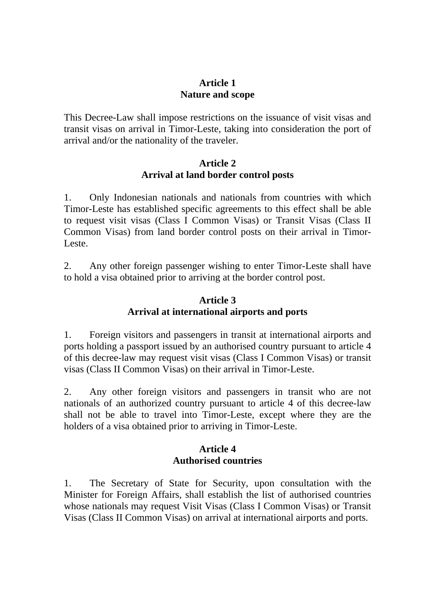## **Article 1 Nature and scope**

This Decree-Law shall impose restrictions on the issuance of visit visas and transit visas on arrival in Timor-Leste, taking into consideration the port of arrival and/or the nationality of the traveler.

### **Article 2 Arrival at land border control posts**

1. Only Indonesian nationals and nationals from countries with which Timor-Leste has established specific agreements to this effect shall be able to request visit visas (Class I Common Visas) or Transit Visas (Class II Common Visas) from land border control posts on their arrival in Timor-Leste.

2. Any other foreign passenger wishing to enter Timor-Leste shall have to hold a visa obtained prior to arriving at the border control post.

# **Article 3 Arrival at international airports and ports**

1. Foreign visitors and passengers in transit at international airports and ports holding a passport issued by an authorised country pursuant to article 4 of this decree-law may request visit visas (Class I Common Visas) or transit visas (Class II Common Visas) on their arrival in Timor-Leste.

2. Any other foreign visitors and passengers in transit who are not nationals of an authorized country pursuant to article 4 of this decree-law shall not be able to travel into Timor-Leste, except where they are the holders of a visa obtained prior to arriving in Timor-Leste.

## **Article 4 Authorised countries**

1. The Secretary of State for Security, upon consultation with the Minister for Foreign Affairs, shall establish the list of authorised countries whose nationals may request Visit Visas (Class I Common Visas) or Transit Visas (Class II Common Visas) on arrival at international airports and ports.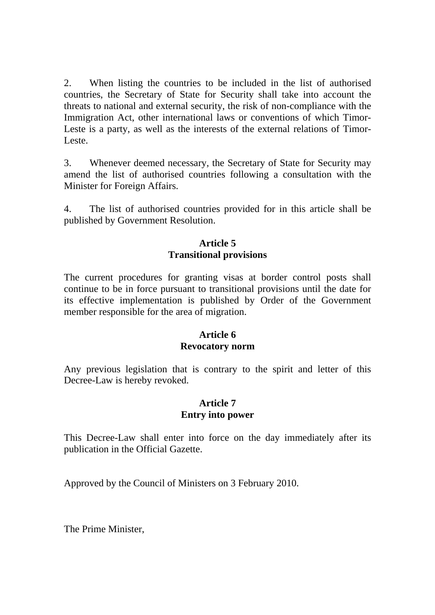2. When listing the countries to be included in the list of authorised countries, the Secretary of State for Security shall take into account the threats to national and external security, the risk of non-compliance with the Immigration Act, other international laws or conventions of which Timor-Leste is a party, as well as the interests of the external relations of Timor-Leste.

3. Whenever deemed necessary, the Secretary of State for Security may amend the list of authorised countries following a consultation with the Minister for Foreign Affairs.

4. The list of authorised countries provided for in this article shall be published by Government Resolution.

# **Article 5 Transitional provisions**

The current procedures for granting visas at border control posts shall continue to be in force pursuant to transitional provisions until the date for its effective implementation is published by Order of the Government member responsible for the area of migration.

### **Article 6 Revocatory norm**

Any previous legislation that is contrary to the spirit and letter of this Decree-Law is hereby revoked.

### **Article 7 Entry into power**

This Decree-Law shall enter into force on the day immediately after its publication in the Official Gazette.

Approved by the Council of Ministers on 3 February 2010.

The Prime Minister,